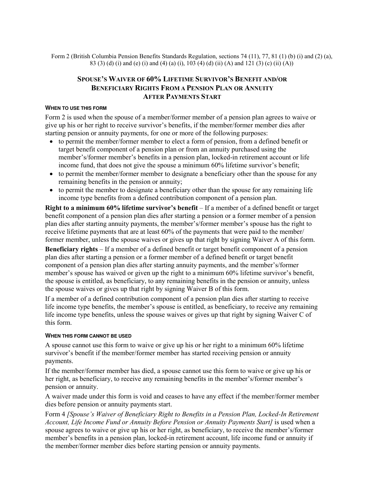Form 2 (British Columbia Pension Benefits Standards Regulation, sections 74 (11), 77, 81 (1) (b) (i) and (2) (a), 83 (3) (d) (i) and (e) (i) and (4) (a) (i), 103 (4) (d) (ii) (A) and 121 (3) (c) (ii) (A))

# **SPOUSE'S WAIVER OF 60% LIFETIME SURVIVOR'S BENEFIT AND/OR BENEFICIARY RIGHTS FROM A PENSION PLAN OR ANNUITY AFTER PAYMENTS START**

#### **WHEN TO USE THIS FORM**

Form 2 is used when the spouse of a member/former member of a pension plan agrees to waive or give up his or her right to receive survivor's benefits, if the member/former member dies after starting pension or annuity payments, for one or more of the following purposes:

- to permit the member/former member to elect a form of pension, from a defined benefit or target benefit component of a pension plan or from an annuity purchased using the member's/former member's benefits in a pension plan, locked-in retirement account or life income fund, that does not give the spouse a minimum 60% lifetime survivor's benefit;
- to permit the member/former member to designate a beneficiary other than the spouse for any remaining benefits in the pension or annuity;
- to permit the member to designate a beneficiary other than the spouse for any remaining life income type benefits from a defined contribution component of a pension plan.

**Right to a minimum 60% lifetime survivor's benefit** – If a member of a defined benefit or target benefit component of a pension plan dies after starting a pension or a former member of a pension plan dies after starting annuity payments, the member's/former member's spouse has the right to receive lifetime payments that are at least 60% of the payments that were paid to the member/ former member, unless the spouse waives or gives up that right by signing Waiver A of this form.

**Beneficiary rights** – If a member of a defined benefit or target benefit component of a pension plan dies after starting a pension or a former member of a defined benefit or target benefit component of a pension plan dies after starting annuity payments, and the member's/former member's spouse has waived or given up the right to a minimum 60% lifetime survivor's benefit, the spouse is entitled, as beneficiary, to any remaining benefits in the pension or annuity, unless the spouse waives or gives up that right by signing Waiver B of this form.

If a member of a defined contribution component of a pension plan dies after starting to receive life income type benefits, the member's spouse is entitled, as beneficiary, to receive any remaining life income type benefits, unless the spouse waives or gives up that right by signing Waiver C of this form.

#### **WHEN THIS FORM CANNOT BE USED**

A spouse cannot use this form to waive or give up his or her right to a minimum 60% lifetime survivor's benefit if the member/former member has started receiving pension or annuity payments.

If the member/former member has died, a spouse cannot use this form to waive or give up his or her right, as beneficiary, to receive any remaining benefits in the member's/former member's pension or annuity.

A waiver made under this form is void and ceases to have any effect if the member/former member dies before pension or annuity payments start.

Form 4 *[Spouse's Waiver of Beneficiary Right to Benefits in a Pension Plan, Locked-In Retirement Account, Life Income Fund or Annuity Before Pension or Annuity Payments Start]* is used when a spouse agrees to waive or give up his or her right, as beneficiary, to receive the member's/former member's benefits in a pension plan, locked-in retirement account, life income fund or annuity if the member/former member dies before starting pension or annuity payments.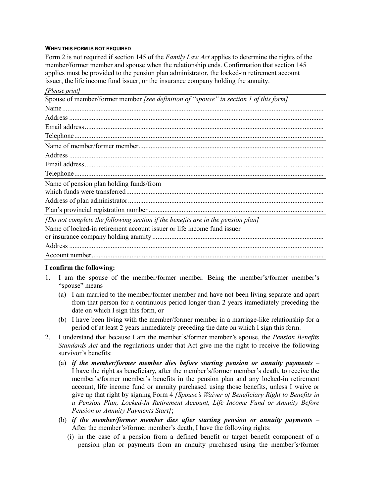#### **WHEN THIS FORM IS NOT REQUIRED**

Form 2 is not required if section 145 of the *Family Law Act* applies to determine the rights of the member/former member and spouse when the relationship ends. Confirmation that section 145 applies must be provided to the pension plan administrator, the locked-in retirement account issuer, the life income fund issuer, or the insurance company holding the annuity.

| [Please print]                                                                        |  |
|---------------------------------------------------------------------------------------|--|
| Spouse of member/former member [see definition of "spouse" in section 1 of this form] |  |
|                                                                                       |  |
|                                                                                       |  |
|                                                                                       |  |
|                                                                                       |  |
|                                                                                       |  |
|                                                                                       |  |
|                                                                                       |  |
|                                                                                       |  |
| Name of pension plan holding funds/from                                               |  |
|                                                                                       |  |
|                                                                                       |  |
| [Do not complete the following section if the benefits are in the pension plan]       |  |
| Name of locked-in retirement account issuer or life income fund issuer                |  |
|                                                                                       |  |
|                                                                                       |  |
|                                                                                       |  |

## **I confirm the following:**

- 1. I am the spouse of the member/former member. Being the member's/former member's "spouse" means
	- (a) I am married to the member/former member and have not been living separate and apart from that person for a continuous period longer than 2 years immediately preceding the date on which I sign this form, or
	- (b) I have been living with the member/former member in a marriage-like relationship for a period of at least 2 years immediately preceding the date on which I sign this form.
- 2. I understand that because I am the member's/former member's spouse, the *Pension Benefits Standards Act* and the regulations under that Act give me the right to receive the following survivor's benefits:
	- (a) *if the member/former member dies before starting pension or annuity payments* I have the right as beneficiary, after the member's/former member's death, to receive the member's/former member's benefits in the pension plan and any locked-in retirement account, life income fund or annuity purchased using those benefits, unless I waive or give up that right by signing Form 4 *[Spouse's Waiver of Beneficiary Right to Benefits in a Pension Plan, Locked-In Retirement Account, Life Income Fund or Annuity Before Pension or Annuity Payments Start]*;
	- (b) *if the member/former member dies after starting pension or annuity payments* After the member's/former member's death, I have the following rights:
		- (i) in the case of a pension from a defined benefit or target benefit component of a pension plan or payments from an annuity purchased using the member's/former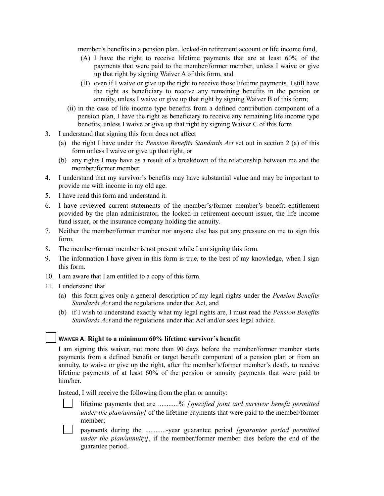member's benefits in a pension plan, locked-in retirement account or life income fund,

- (A) I have the right to receive lifetime payments that are at least 60% of the payments that were paid to the member/former member, unless I waive or give up that right by signing Waiver A of this form, and
- (B) even if I waive or give up the right to receive those lifetime payments, I still have the right as beneficiary to receive any remaining benefits in the pension or annuity, unless I waive or give up that right by signing Waiver B of this form;
- (ii) in the case of life income type benefits from a defined contribution component of a pension plan, I have the right as beneficiary to receive any remaining life income type benefits, unless I waive or give up that right by signing Waiver C of this form.
- 3. I understand that signing this form does not affect
	- (a) the right I have under the *Pension Benefits Standards Act* set out in section 2 (a) of this form unless I waive or give up that right, or
	- (b) any rights I may have as a result of a breakdown of the relationship between me and the member/former member.
- 4. I understand that my survivor's benefits may have substantial value and may be important to provide me with income in my old age.
- 5. I have read this form and understand it.
- 6. I have reviewed current statements of the member's/former member's benefit entitlement provided by the plan administrator, the locked-in retirement account issuer, the life income fund issuer, or the insurance company holding the annuity.
- 7. Neither the member/former member nor anyone else has put any pressure on me to sign this form.
- 8. The member/former member is not present while I am signing this form.
- 9. The information I have given in this form is true, to the best of my knowledge, when I sign this form.
- 10. I am aware that I am entitled to a copy of this form.
- 11. I understand that
	- (a) this form gives only a general description of my legal rights under the *Pension Benefits Standards Act* and the regulations under that Act, and
	- (b) if I wish to understand exactly what my legal rights are, I must read the *Pension Benefits Standards Act* and the regulations under that Act and/or seek legal advice.

## **WAIVER A**: **Right to a minimum 60% lifetime survivor's benefit**

I am signing this waiver, not more than 90 days before the member/former member starts payments from a defined benefit or target benefit component of a pension plan or from an annuity, to waive or give up the right, after the member's/former member's death, to receive lifetime payments of at least 60% of the pension or annuity payments that were paid to him/her.

Instead, I will receive the following from the plan or annuity:

- lifetime payments that are ............% *[specified joint and survivor benefit permitted under the plan/annuity]* of the lifetime payments that were paid to the member/former member;
- payments during the ............-year guarantee period *[guarantee period permitted under the plan/annuity]*, if the member/former member dies before the end of the guarantee period.